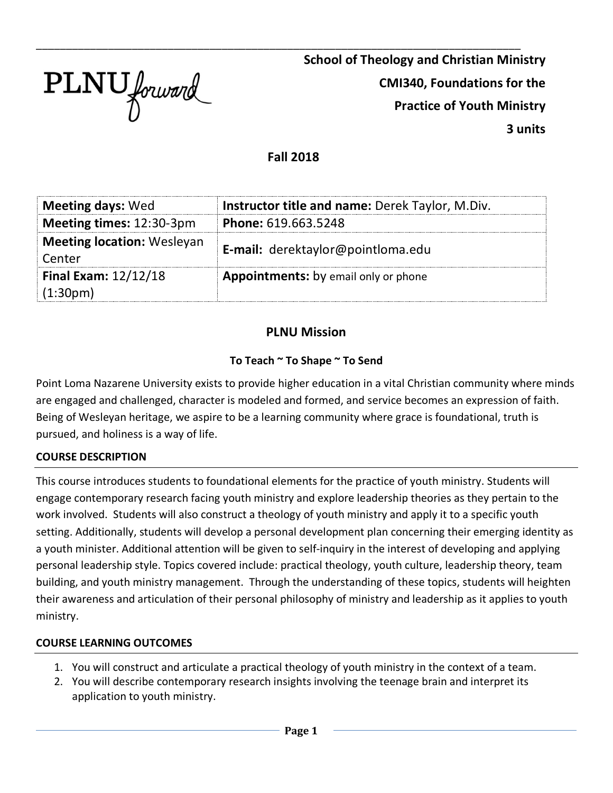

\_\_\_\_\_\_\_\_\_\_\_\_\_\_\_\_\_\_\_\_\_\_\_\_\_\_\_\_\_\_\_\_\_\_\_\_\_\_\_\_\_\_\_\_\_\_\_\_\_\_\_\_\_\_\_\_\_\_\_\_\_\_\_\_\_\_\_\_\_\_\_\_\_\_\_\_\_\_\_\_\_ **School of Theology and Christian Ministry CMI340, Foundations for the Practice of Youth Ministry 3 units**

#### **Fall 2018**

| <b>Meeting days: Wed</b>                             | Instructor title and name: Derek Taylor, M.Div. |
|------------------------------------------------------|-------------------------------------------------|
| Meeting times: 12:30-3pm                             | Phone: 619.663.5248                             |
| <b>Meeting location: Wesleyan</b><br>Center          | E-mail: derektaylor@pointloma.edu               |
| <b>Final Exam: 12/12/18</b><br>(1:30 <sub>pm</sub> ) | Appointments: by email only or phone            |

# **PLNU Mission**

#### **To Teach ~ To Shape ~ To Send**

Point Loma Nazarene University exists to provide higher education in a vital Christian community where minds are engaged and challenged, character is modeled and formed, and service becomes an expression of faith. Being of Wesleyan heritage, we aspire to be a learning community where grace is foundational, truth is pursued, and holiness is a way of life.

#### **COURSE DESCRIPTION**

This course introduces students to foundational elements for the practice of youth ministry. Students will engage contemporary research facing youth ministry and explore leadership theories as they pertain to the work involved. Students will also construct a theology of youth ministry and apply it to a specific youth setting. Additionally, students will develop a personal development plan concerning their emerging identity as a youth minister. Additional attention will be given to self-inquiry in the interest of developing and applying personal leadership style. Topics covered include: practical theology, youth culture, leadership theory, team building, and youth ministry management. Through the understanding of these topics, students will heighten their awareness and articulation of their personal philosophy of ministry and leadership as it applies to youth ministry.

#### **COURSE LEARNING OUTCOMES**

- 1. You will construct and articulate a practical theology of youth ministry in the context of a team.
- 2. You will describe contemporary research insights involving the teenage brain and interpret its application to youth ministry.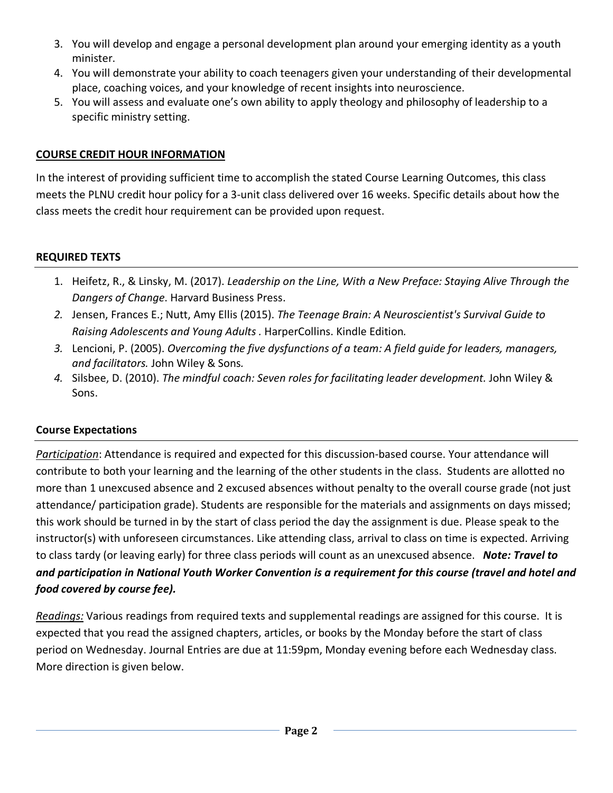- 3. You will develop and engage a personal development plan around your emerging identity as a youth minister.
- 4. You will demonstrate your ability to coach teenagers given your understanding of their developmental place, coaching voices, and your knowledge of recent insights into neuroscience.
- 5. You will assess and evaluate one's own ability to apply theology and philosophy of leadership to a specific ministry setting.

### **COURSE CREDIT HOUR INFORMATION**

In the interest of providing sufficient time to accomplish the stated Course Learning Outcomes, this class meets the PLNU credit hour policy for a 3-unit class delivered over 16 weeks. Specific details about how the class meets the credit hour requirement can be provided upon request.

#### **REQUIRED TEXTS**

- 1. Heifetz, R., & Linsky, M. (2017). *Leadership on the Line, With a New Preface: Staying Alive Through the Dangers of Change*. Harvard Business Press.
- *2.* Jensen, Frances E.; Nutt, Amy Ellis (2015). *The Teenage Brain: A Neuroscientist's Survival Guide to Raising Adolescents and Young Adults .* HarperCollins. Kindle Edition*.*
- *3.* Lencioni, P. (2005). *Overcoming the five dysfunctions of a team: A field guide for leaders, managers, and facilitators.* John Wiley & Sons*.*
- *4.* Silsbee, D. (2010). *The mindful coach: Seven roles for facilitating leader development.* John Wiley & Sons.

# **Course Expectations**

*Participation*: Attendance is required and expected for this discussion-based course. Your attendance will contribute to both your learning and the learning of the other students in the class. Students are allotted no more than 1 unexcused absence and 2 excused absences without penalty to the overall course grade (not just attendance/ participation grade). Students are responsible for the materials and assignments on days missed; this work should be turned in by the start of class period the day the assignment is due. Please speak to the instructor(s) with unforeseen circumstances. Like attending class, arrival to class on time is expected. Arriving to class tardy (or leaving early) for three class periods will count as an unexcused absence. *Note: Travel to and participation in National Youth Worker Convention is a requirement for this course (travel and hotel and food covered by course fee).*

*Readings:* Various readings from required texts and supplemental readings are assigned for this course. It is expected that you read the assigned chapters, articles, or books by the Monday before the start of class period on Wednesday. Journal Entries are due at 11:59pm, Monday evening before each Wednesday class. More direction is given below.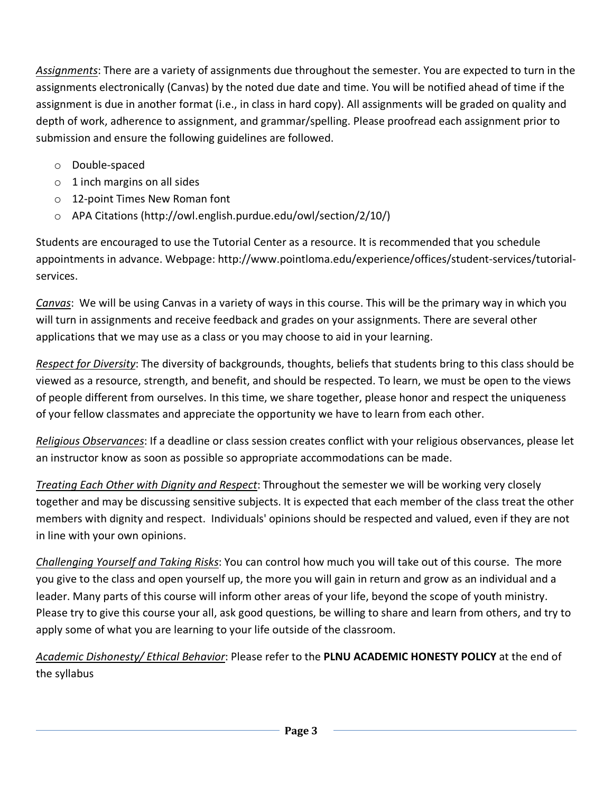*Assignments*: There are a variety of assignments due throughout the semester. You are expected to turn in the assignments electronically (Canvas) by the noted due date and time. You will be notified ahead of time if the assignment is due in another format (i.e., in class in hard copy). All assignments will be graded on quality and depth of work, adherence to assignment, and grammar/spelling. Please proofread each assignment prior to submission and ensure the following guidelines are followed.

- o Double-spaced
- $\circ$  1 inch margins on all sides
- o 12-point Times New Roman font
- o APA Citations (http://owl.english.purdue.edu/owl/section/2/10/)

Students are encouraged to use the Tutorial Center as a resource. It is recommended that you schedule appointments in advance. Webpage: http://www.pointloma.edu/experience/offices/student-services/tutorialservices.

*Canvas*: We will be using Canvas in a variety of ways in this course. This will be the primary way in which you will turn in assignments and receive feedback and grades on your assignments. There are several other applications that we may use as a class or you may choose to aid in your learning.

*Respect for Diversity*: The diversity of backgrounds, thoughts, beliefs that students bring to this class should be viewed as a resource, strength, and benefit, and should be respected. To learn, we must be open to the views of people different from ourselves. In this time, we share together, please honor and respect the uniqueness of your fellow classmates and appreciate the opportunity we have to learn from each other.

*Religious Observances*: If a deadline or class session creates conflict with your religious observances, please let an instructor know as soon as possible so appropriate accommodations can be made.

*Treating Each Other with Dignity and Respect*: Throughout the semester we will be working very closely together and may be discussing sensitive subjects. It is expected that each member of the class treat the other members with dignity and respect. Individuals' opinions should be respected and valued, even if they are not in line with your own opinions.

*Challenging Yourself and Taking Risks*: You can control how much you will take out of this course. The more you give to the class and open yourself up, the more you will gain in return and grow as an individual and a leader. Many parts of this course will inform other areas of your life, beyond the scope of youth ministry. Please try to give this course your all, ask good questions, be willing to share and learn from others, and try to apply some of what you are learning to your life outside of the classroom.

*Academic Dishonesty/ Ethical Behavior*: Please refer to the **PLNU ACADEMIC HONESTY POLICY** at the end of the syllabus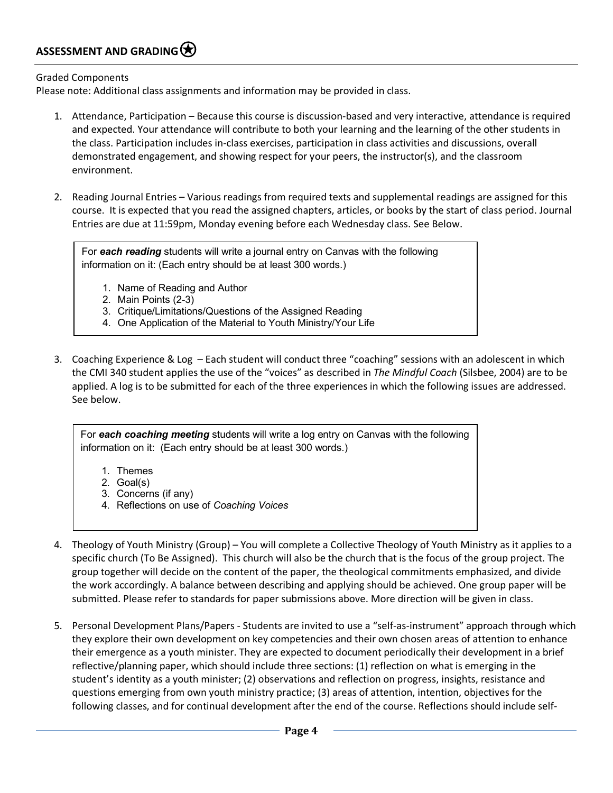#### ASSESSMENT AND GRADING<sup>( $\bigstar$ )</sup>

Graded Components

Please note: Additional class assignments and information may be provided in class.

- 1. Attendance, Participation Because this course is discussion-based and very interactive, attendance is required and expected. Your attendance will contribute to both your learning and the learning of the other students in the class. Participation includes in-class exercises, participation in class activities and discussions, overall demonstrated engagement, and showing respect for your peers, the instructor(s), and the classroom environment.
- 2. Reading Journal Entries Various readings from required texts and supplemental readings are assigned for this course. It is expected that you read the assigned chapters, articles, or books by the start of class period. Journal Entries are due at 11:59pm, Monday evening before each Wednesday class. See Below.

For *each reading* students will write a journal entry on Canvas with the following information on it: (Each entry should be at least 300 words.)

- 1. Name of Reading and Author
- 2. Main Points (2-3)
- 3. Critique/Limitations/Questions of the Assigned Reading
- 4. One Application of the Material to Youth Ministry/Your Life
- 3. Coaching Experience & Log Each student will conduct three "coaching" sessions with an adolescent in which the CMI 340 student applies the use of the "voices" as described in *The Mindful Coach* (Silsbee, 2004) are to be applied. A log is to be submitted for each of the three experiences in which the following issues are addressed. See below.

For *each coaching meeting* students will write a log entry on Canvas with the following information on it: (Each entry should be at least 300 words.)

- 1. Themes
- 2. Goal(s)
- 3. Concerns (if any)
- 4. Reflections on use of *Coaching Voices*
- 4. Theology of Youth Ministry (Group) You will complete a Collective Theology of Youth Ministry as it applies to a specific church (To Be Assigned). This church will also be the church that is the focus of the group project. The group together will decide on the content of the paper, the theological commitments emphasized, and divide the work accordingly. A balance between describing and applying should be achieved. One group paper will be submitted. Please refer to standards for paper submissions above. More direction will be given in class.
- 5. Personal Development Plans/Papers Students are invited to use a "self-as-instrument" approach through which they explore their own development on key competencies and their own chosen areas of attention to enhance their emergence as a youth minister. They are expected to document periodically their development in a brief reflective/planning paper, which should include three sections: (1) reflection on what is emerging in the student's identity as a youth minister; (2) observations and reflection on progress, insights, resistance and questions emerging from own youth ministry practice; (3) areas of attention, intention, objectives for the following classes, and for continual development after the end of the course. Reflections should include self-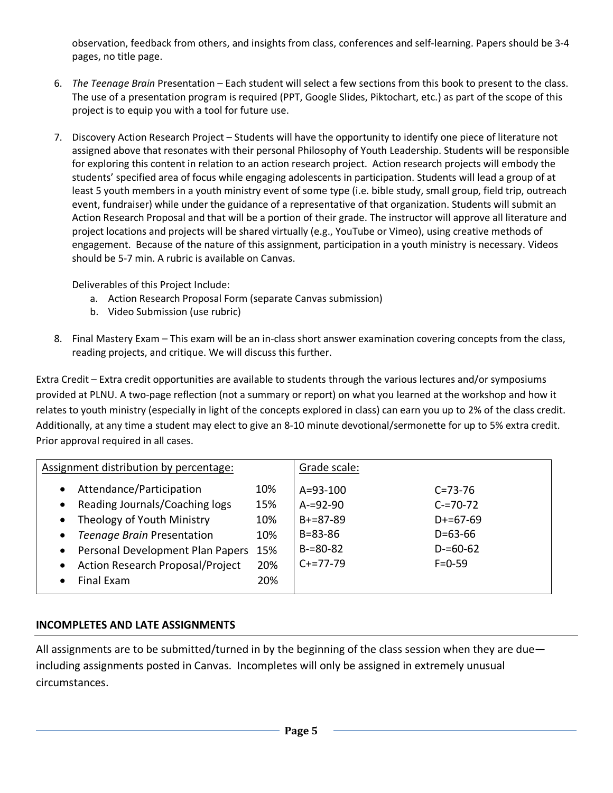observation, feedback from others, and insights from class, conferences and self-learning. Papers should be 3-4 pages, no title page.

- 6. *The Teenage Brain* Presentation Each student will select a few sections from this book to present to the class. The use of a presentation program is required (PPT, Google Slides, Piktochart, etc.) as part of the scope of this project is to equip you with a tool for future use.
- 7. Discovery Action Research Project Students will have the opportunity to identify one piece of literature not assigned above that resonates with their personal Philosophy of Youth Leadership. Students will be responsible for exploring this content in relation to an action research project. Action research projects will embody the students' specified area of focus while engaging adolescents in participation. Students will lead a group of at least 5 youth members in a youth ministry event of some type (i.e. bible study, small group, field trip, outreach event, fundraiser) while under the guidance of a representative of that organization. Students will submit an Action Research Proposal and that will be a portion of their grade. The instructor will approve all literature and project locations and projects will be shared virtually (e.g., YouTube or Vimeo), using creative methods of engagement. Because of the nature of this assignment, participation in a youth ministry is necessary. Videos should be 5-7 min. A rubric is available on Canvas.

Deliverables of this Project Include:

- a. Action Research Proposal Form (separate Canvas submission)
- b. Video Submission (use rubric)
- 8. Final Mastery Exam This exam will be an in-class short answer examination covering concepts from the class, reading projects, and critique. We will discuss this further.

Extra Credit – Extra credit opportunities are available to students through the various lectures and/or symposiums provided at PLNU. A two-page reflection (not a summary or report) on what you learned at the workshop and how it relates to youth ministry (especially in light of the concepts explored in class) can earn you up to 2% of the class credit. Additionally, at any time a student may elect to give an 8-10 minute devotional/sermonette for up to 5% extra credit. Prior approval required in all cases.

| Assignment distribution by percentage:                                                                                                                                                                              |                                               | Grade scale:                                                                                  |                                                                                                |  |
|---------------------------------------------------------------------------------------------------------------------------------------------------------------------------------------------------------------------|-----------------------------------------------|-----------------------------------------------------------------------------------------------|------------------------------------------------------------------------------------------------|--|
| Attendance/Participation<br>Reading Journals/Coaching logs<br>Theology of Youth Ministry<br>Teenage Brain Presentation<br>Personal Development Plan Papers<br><b>Action Research Proposal/Project</b><br>Final Exam | 10%<br>15%<br>10%<br>10%<br>15%<br>20%<br>20% | $A = 93 - 100$<br>$A = 92 - 90$<br>$B+=87-89$<br>$B = 83 - 86$<br>$B = 80 - 82$<br>$C+=77-79$ | $C = 73 - 76$<br>$C = 70 - 72$<br>$D+=67-69$<br>$D = 63 - 66$<br>$D = 60 - 62$<br>$F = 0 - 59$ |  |

#### **INCOMPLETES AND LATE ASSIGNMENTS**

All assignments are to be submitted/turned in by the beginning of the class session when they are due including assignments posted in Canvas. Incompletes will only be assigned in extremely unusual circumstances.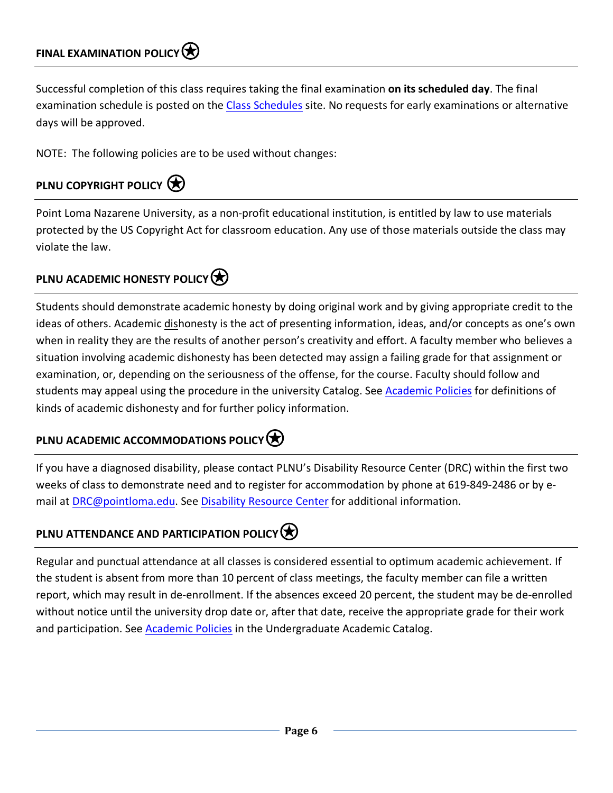Successful completion of this class requires taking the final examination **on its scheduled day**. The final examination schedule is posted on the Class Schedules site. No requests for early examinations or alternative days will be approved.

NOTE: The following policies are to be used without changes:

# **PLNU COPYRIGHT POLICY**

Point Loma Nazarene University, as a non-profit educational institution, is entitled by law to use materials protected by the US Copyright Act for classroom education. Any use of those materials outside the class may violate the law.

# **PLNU ACADEMIC HONESTY POLICY**

Students should demonstrate academic honesty by doing original work and by giving appropriate credit to the ideas of others. Academic dishonesty is the act of presenting information, ideas, and/or concepts as one's own when in reality they are the results of another person's creativity and effort. A faculty member who believes a situation involving academic dishonesty has been detected may assign a failing grade for that assignment or examination, or, depending on the seriousness of the offense, for the course. Faculty should follow and students may appeal using the procedure in the university Catalog. See **Academic Policies** for definitions of kinds of academic dishonesty and for further policy information.

# **PLNU ACADEMIC ACCOMMODATIONS POLICY**

If you have a diagnosed disability, please contact PLNU's Disability Resource Center (DRC) within the first two weeks of class to demonstrate need and to register for accommodation by phone at 619-849-2486 or by email at DRC@pointloma.edu. See Disability Resource Center for additional information.

# **PLNU ATTENDANCE AND PARTICIPATION POLICY**

Regular and punctual attendance at all classes is considered essential to optimum academic achievement. If the student is absent from more than 10 percent of class meetings, the faculty member can file a written report, which may result in de-enrollment. If the absences exceed 20 percent, the student may be de-enrolled without notice until the university drop date or, after that date, receive the appropriate grade for their work and participation. See Academic Policies in the Undergraduate Academic Catalog.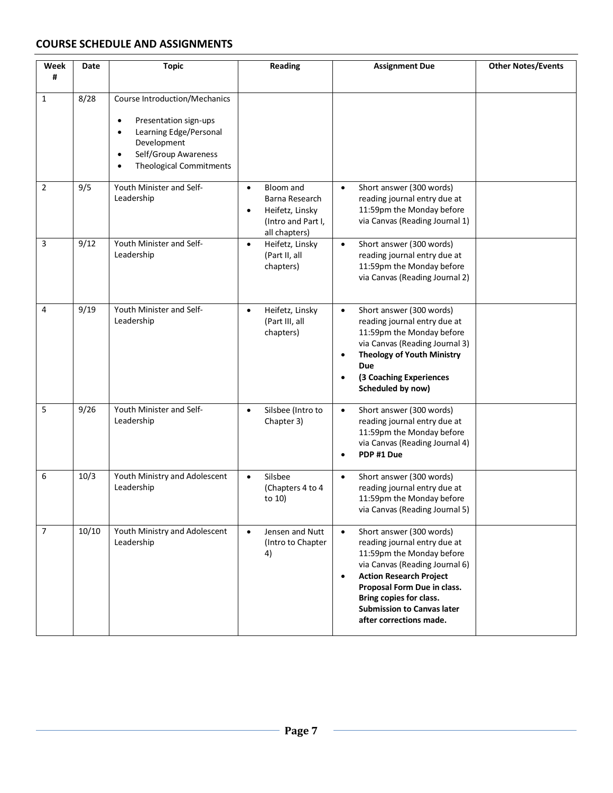#### **COURSE SCHEDULE AND ASSIGNMENTS**

| Week<br>#      | Date  | <b>Topic</b>                                                                                                                                                                                     | <b>Reading</b>                                                                                                  | <b>Assignment Due</b>                                                                                                                                                                                                                                                                                         | <b>Other Notes/Events</b> |
|----------------|-------|--------------------------------------------------------------------------------------------------------------------------------------------------------------------------------------------------|-----------------------------------------------------------------------------------------------------------------|---------------------------------------------------------------------------------------------------------------------------------------------------------------------------------------------------------------------------------------------------------------------------------------------------------------|---------------------------|
| $\mathbf{1}$   | 8/28  | Course Introduction/Mechanics<br>Presentation sign-ups<br>$\bullet$<br>Learning Edge/Personal<br>$\bullet$<br>Development<br>Self/Group Awareness<br>$\bullet$<br><b>Theological Commitments</b> |                                                                                                                 |                                                                                                                                                                                                                                                                                                               |                           |
| $\overline{2}$ | 9/5   | Youth Minister and Self-<br>Leadership                                                                                                                                                           | Bloom and<br>$\bullet$<br>Barna Research<br>Heifetz, Linsky<br>$\bullet$<br>(Intro and Part I,<br>all chapters) | Short answer (300 words)<br>$\bullet$<br>reading journal entry due at<br>11:59pm the Monday before<br>via Canvas (Reading Journal 1)                                                                                                                                                                          |                           |
| 3              | 9/12  | Youth Minister and Self-<br>Leadership                                                                                                                                                           | Heifetz, Linsky<br>$\bullet$<br>(Part II, all<br>chapters)                                                      | Short answer (300 words)<br>$\bullet$<br>reading journal entry due at<br>11:59pm the Monday before<br>via Canvas (Reading Journal 2)                                                                                                                                                                          |                           |
| 4              | 9/19  | Youth Minister and Self-<br>Leadership                                                                                                                                                           | Heifetz, Linsky<br>$\bullet$<br>(Part III, all<br>chapters)                                                     | Short answer (300 words)<br>$\bullet$<br>reading journal entry due at<br>11:59pm the Monday before<br>via Canvas (Reading Journal 3)<br><b>Theology of Youth Ministry</b><br>$\bullet$<br>Due<br>(3 Coaching Experiences<br>$\bullet$<br>Scheduled by now)                                                    |                           |
| 5              | 9/26  | Youth Minister and Self-<br>Leadership                                                                                                                                                           | Silsbee (Intro to<br>$\bullet$<br>Chapter 3)                                                                    | Short answer (300 words)<br>$\bullet$<br>reading journal entry due at<br>11:59pm the Monday before<br>via Canvas (Reading Journal 4)<br>PDP #1 Due<br>$\bullet$                                                                                                                                               |                           |
| 6              | 10/3  | Youth Ministry and Adolescent<br>Leadership                                                                                                                                                      | Silsbee<br>$\bullet$<br>(Chapters 4 to 4<br>to 10)                                                              | Short answer (300 words)<br>$\bullet$<br>reading journal entry due at<br>11:59pm the Monday before<br>via Canvas (Reading Journal 5)                                                                                                                                                                          |                           |
| $\overline{7}$ | 10/10 | Youth Ministry and Adolescent<br>Leadership                                                                                                                                                      | Jensen and Nutt<br>$\bullet$<br>(Intro to Chapter<br>4)                                                         | Short answer (300 words)<br>$\bullet$<br>reading journal entry due at<br>11:59pm the Monday before<br>via Canvas (Reading Journal 6)<br><b>Action Research Project</b><br>$\bullet$<br>Proposal Form Due in class.<br>Bring copies for class.<br><b>Submission to Canvas later</b><br>after corrections made. |                           |